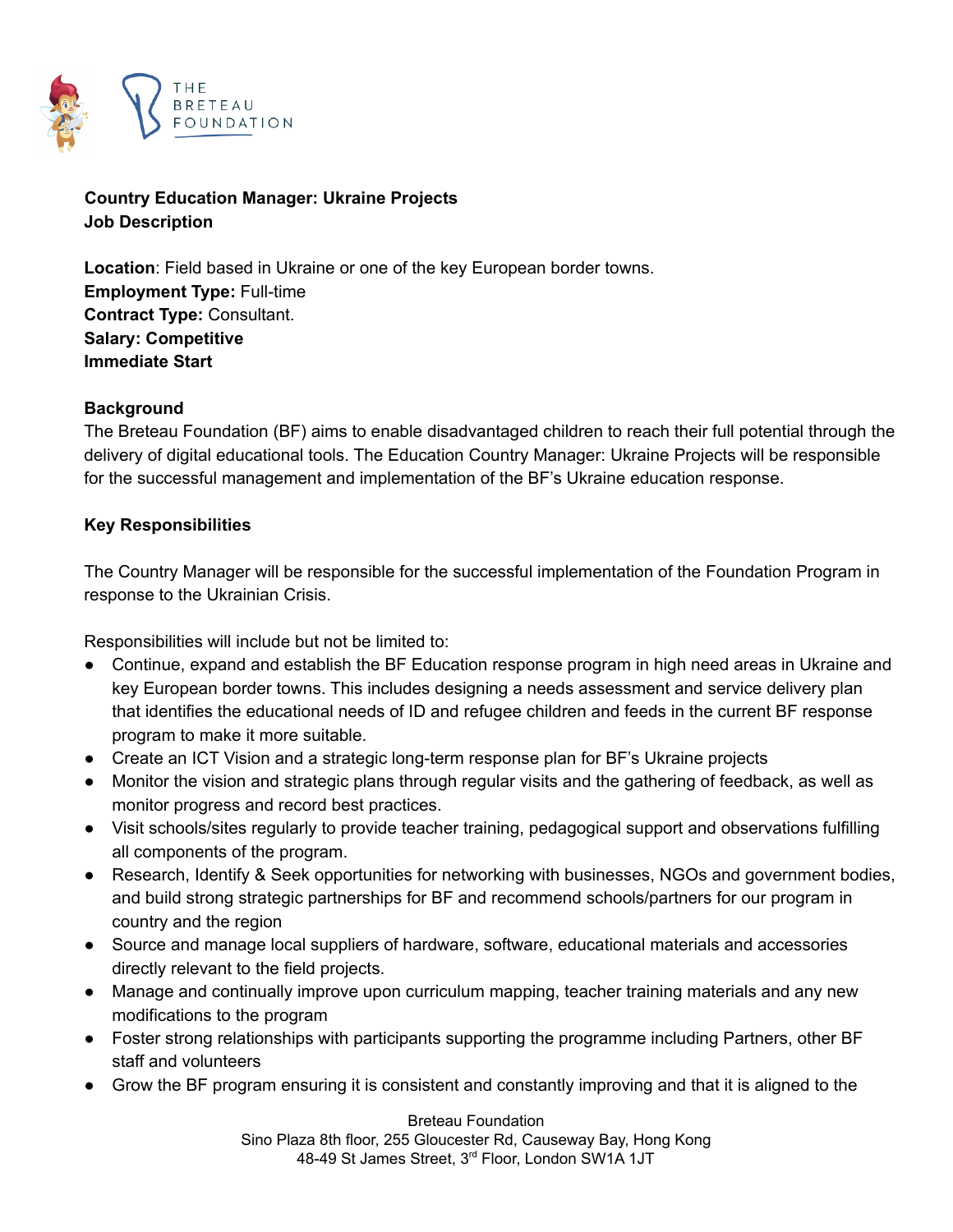

**Country Education Manager: Ukraine Projects Job Description**

**Location**: Field based in Ukraine or one of the key European border towns. **Employment Type:** Full-time **Contract Type:** Consultant. **Salary: Competitive Immediate Start**

## **Background**

The Breteau Foundation (BF) aims to enable disadvantaged children to reach their full potential through the delivery of digital educational tools. The Education Country Manager: Ukraine Projects will be responsible for the successful management and implementation of the BF's Ukraine education response.

## **Key Responsibilities**

The Country Manager will be responsible for the successful implementation of the Foundation Program in response to the Ukrainian Crisis.

Responsibilities will include but not be limited to:

- Continue, expand and establish the BF Education response program in high need areas in Ukraine and key European border towns. This includes designing a needs assessment and service delivery plan that identifies the educational needs of ID and refugee children and feeds in the current BF response program to make it more suitable.
- Create an ICT Vision and a strategic long-term response plan for BF's Ukraine projects
- Monitor the vision and strategic plans through regular visits and the gathering of feedback, as well as monitor progress and record best practices.
- Visit schools/sites regularly to provide teacher training, pedagogical support and observations fulfilling all components of the program.
- Research, Identify & Seek opportunities for networking with businesses, NGOs and government bodies, and build strong strategic partnerships for BF and recommend schools/partners for our program in country and the region
- Source and manage local suppliers of hardware, software, educational materials and accessories directly relevant to the field projects.
- Manage and continually improve upon curriculum mapping, teacher training materials and any new modifications to the program
- Foster strong relationships with participants supporting the programme including Partners, other BF staff and volunteers
- Grow the BF program ensuring it is consistent and constantly improving and that it is aligned to the

Breteau Foundation Sino Plaza 8th floor, 255 Gloucester Rd, Causeway Bay, Hong Kong 48-49 St James Street, 3<sup>rd</sup> Floor, London SW1A 1JT